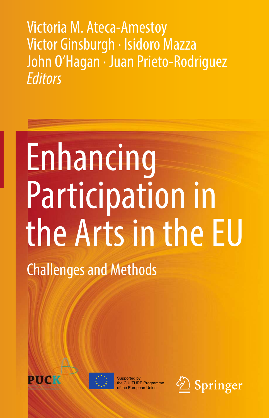Victoria M. Ateca-Amestoy Victor Ginsburgh · Isidoro Mazza John O'Hagan · Juan Prieto-Rodriguez *Editors*

## Enhancing Participation in the Arts in the EU Challenges and Methods





Supported by the CULTURE Programme **European Union** 

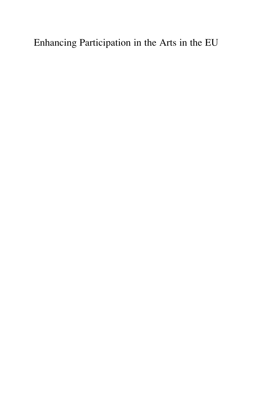Enhancing Participation in the Arts in the EU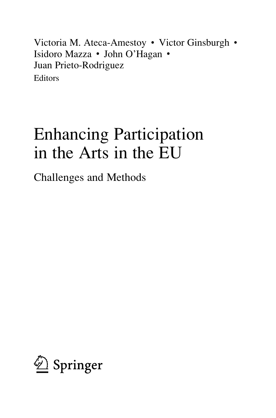Victoria M. Ateca-Amestoy • Victor Ginsburgh • Isidoro Mazza • John O'Hagan • Juan Prieto-Rodriguez Editors

## Enhancing Participation in the Arts in the EU

Challenges and Methods

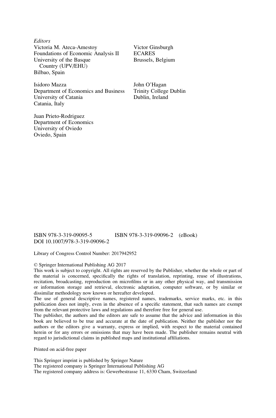**Editors** Victoria M. Ateca-Amestoy Foundations of Economic Analysis II University of the Basque Country (UPV/EHU) Bilbao, Spain

Isidoro Mazza Department of Economics and Business University of Catania Catania, Italy

Juan Prieto-Rodriguez Department of Economics University of Oviedo Oviedo, Spain

Victor Ginsburgh ECARES Brussels, Belgium

John O'Hagan Trinity College Dublin Dublin, Ireland

DOI 10.1007/978-3-319-09096-2

ISBN 978-3-319-09095-5 ISBN 978-3-319-09096-2 (eBook)

Library of Congress Control Number: 2017942952

## © Springer International Publishing AG 2017

This work is subject to copyright. All rights are reserved by the Publisher, whether the whole or part of the material is concerned, specifically the rights of translation, reprinting, reuse of illustrations, recitation, broadcasting, reproduction on microfilms or in any other physical way, and transmission or information storage and retrieval, electronic adaptation, computer software, or by similar or dissimilar methodology now known or hereafter developed.

The use of general descriptive names, registered names, trademarks, service marks, etc. in this publication does not imply, even in the absence of a specific statement, that such names are exempt from the relevant protective laws and regulations and therefore free for general use.

The publisher, the authors and the editors are safe to assume that the advice and information in this book are believed to be true and accurate at the date of publication. Neither the publisher nor the authors or the editors give a warranty, express or implied, with respect to the material contained herein or for any errors or omissions that may have been made. The publisher remains neutral with regard to jurisdictional claims in published maps and institutional affiliations.

Printed on acid-free paper

This Springer imprint is published by Springer Nature The registered company is Springer International Publishing AG The registered company address is: Gewerbestrasse 11, 6330 Cham, Switzerland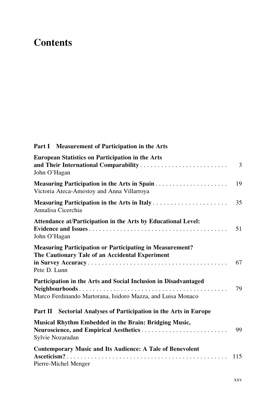## **Contents**

| Part I Measurement of Participation in the Arts                                                                                                       |     |
|-------------------------------------------------------------------------------------------------------------------------------------------------------|-----|
| <b>European Statistics on Participation in the Arts</b><br>John O'Hagan                                                                               | 3   |
| Measuring Participation in the Arts in Spain<br>Victoria Ateca-Amestoy and Anna Villarroya                                                            | 19  |
| Measuring Participation in the Arts in Italy<br>Annalisa Cicerchia                                                                                    | 35  |
| Attendance at/Participation in the Arts by Educational Level:<br>John O'Hagan                                                                         | 51  |
| <b>Measuring Participation or Participating in Measurement?</b><br>The Cautionary Tale of an Accidental Experiment<br>Pete D. Lunn                    | 67  |
| Participation in the Arts and Social Inclusion in Disadvantaged<br>Neighbourhoods<br>.<br>Marco Ferdinando Martorana, Isidoro Mazza, and Luisa Monaco | 79  |
| Part II Sectorial Analyses of Participation in the Arts in Europe                                                                                     |     |
| Musical Rhythm Embedded in the Brain: Bridging Music,<br>Neuroscience, and Empirical Aesthetics<br>Sylvie Nozaradan                                   | 99  |
| <b>Contemporary Music and Its Audience: A Tale of Benevolent</b><br>Pierre-Michel Menger                                                              | 115 |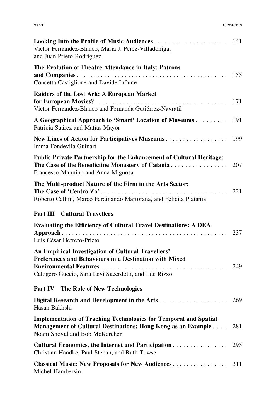| XXV1 | Contents |
|------|----------|
|      |          |

| Victor Fernandez-Blanco, Maria J. Perez-Villadoniga,<br>and Juan Prieto-Rodriguez                                                                                        |     |
|--------------------------------------------------------------------------------------------------------------------------------------------------------------------------|-----|
| The Evolution of Theatre Attendance in Italy: Patrons<br>Concetta Castiglione and Davide Infante                                                                         | 155 |
| Raiders of the Lost Ark: A European Market<br>Víctor Fernandez-Blanco and Fernanda Gutiérrez-Navratil                                                                    | 171 |
| A Geographical Approach to 'Smart' Location of Museums 191<br>Patricia Suárez and Matías Mayor                                                                           |     |
| Imma Fondevila Guinart                                                                                                                                                   |     |
| Public Private Partnership for the Enhancement of Cultural Heritage:<br>The Case of the Benedictine Monastery of Catania<br>Francesco Mannino and Anna Mignosa           | 207 |
| The Multi-product Nature of the Firm in the Arts Sector:<br>Roberto Cellini, Marco Ferdinando Martorana, and Felicita Platania                                           |     |
|                                                                                                                                                                          |     |
| <b>Part III</b> Cultural Travellers                                                                                                                                      |     |
| <b>Evaluating the Efficiency of Cultural Travel Destinations: A DEA</b><br>Luis César Herrero-Prieto                                                                     | 237 |
| An Empirical Investigation of Cultural Travellers'<br>Preferences and Behaviours in a Destination with Mixed<br>Calogero Guccio, Sara Levi Sacerdotti, and Ilde Rizzo    |     |
| Part IV The Role of New Technologies                                                                                                                                     |     |
| Hasan Bakhshi                                                                                                                                                            |     |
| <b>Implementation of Tracking Technologies for Temporal and Spatial</b><br>Management of Cultural Destinations: Hong Kong as an Example<br>Noam Shoval and Bob McKercher | 281 |
| Cultural Economics, the Internet and Participation<br>Christian Handke, Paul Stepan, and Ruth Towse                                                                      | 295 |